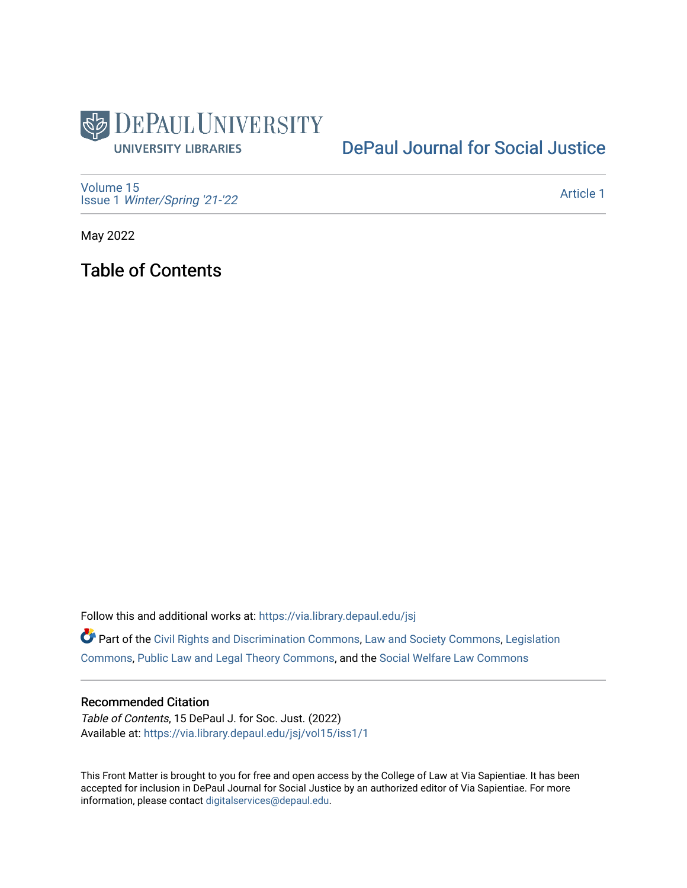

# [DePaul Journal for Social Justice](https://via.library.depaul.edu/jsj)

[Volume 15](https://via.library.depaul.edu/jsj/vol15) Issue 1 [Winter/Spring '21-'22](https://via.library.depaul.edu/jsj/vol15/iss1) 

[Article 1](https://via.library.depaul.edu/jsj/vol15/iss1/1) 

May 2022

Table of Contents

Follow this and additional works at: [https://via.library.depaul.edu/jsj](https://via.library.depaul.edu/jsj?utm_source=via.library.depaul.edu%2Fjsj%2Fvol15%2Fiss1%2F1&utm_medium=PDF&utm_campaign=PDFCoverPages) 

Part of the [Civil Rights and Discrimination Commons,](https://network.bepress.com/hgg/discipline/585?utm_source=via.library.depaul.edu%2Fjsj%2Fvol15%2Fiss1%2F1&utm_medium=PDF&utm_campaign=PDFCoverPages) [Law and Society Commons](https://network.bepress.com/hgg/discipline/853?utm_source=via.library.depaul.edu%2Fjsj%2Fvol15%2Fiss1%2F1&utm_medium=PDF&utm_campaign=PDFCoverPages), [Legislation](https://network.bepress.com/hgg/discipline/859?utm_source=via.library.depaul.edu%2Fjsj%2Fvol15%2Fiss1%2F1&utm_medium=PDF&utm_campaign=PDFCoverPages) [Commons](https://network.bepress.com/hgg/discipline/859?utm_source=via.library.depaul.edu%2Fjsj%2Fvol15%2Fiss1%2F1&utm_medium=PDF&utm_campaign=PDFCoverPages), [Public Law and Legal Theory Commons](https://network.bepress.com/hgg/discipline/871?utm_source=via.library.depaul.edu%2Fjsj%2Fvol15%2Fiss1%2F1&utm_medium=PDF&utm_campaign=PDFCoverPages), and the [Social Welfare Law Commons](https://network.bepress.com/hgg/discipline/878?utm_source=via.library.depaul.edu%2Fjsj%2Fvol15%2Fiss1%2F1&utm_medium=PDF&utm_campaign=PDFCoverPages)

#### Recommended Citation

Table of Contents, 15 DePaul J. for Soc. Just. (2022) Available at: [https://via.library.depaul.edu/jsj/vol15/iss1/1](https://via.library.depaul.edu/jsj/vol15/iss1/1?utm_source=via.library.depaul.edu%2Fjsj%2Fvol15%2Fiss1%2F1&utm_medium=PDF&utm_campaign=PDFCoverPages) 

This Front Matter is brought to you for free and open access by the College of Law at Via Sapientiae. It has been accepted for inclusion in DePaul Journal for Social Justice by an authorized editor of Via Sapientiae. For more information, please contact [digitalservices@depaul.edu](mailto:digitalservices@depaul.edu).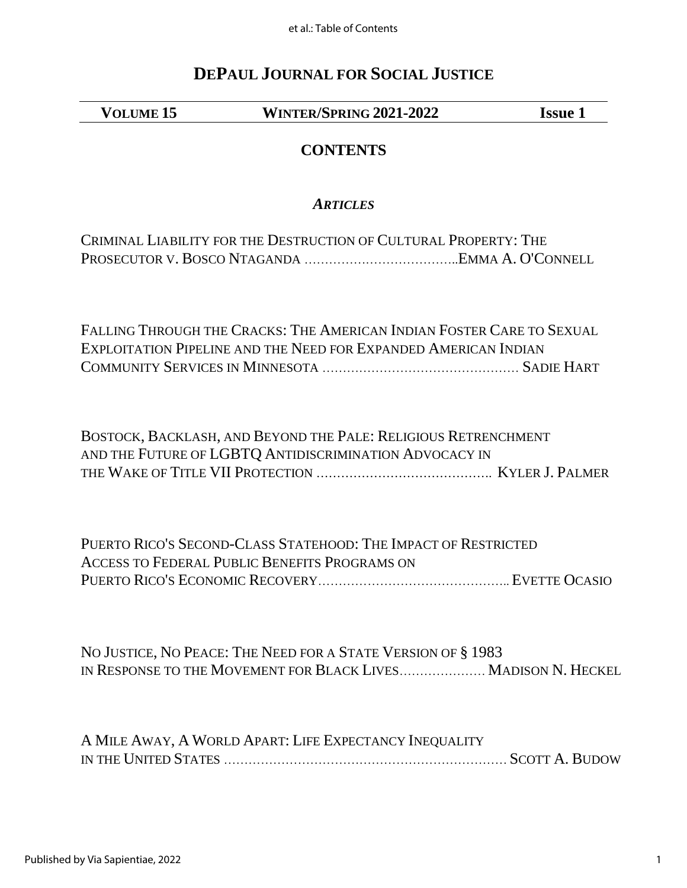et al.: Table of Contents

# **DEPAUL JOURNAL FOR SOCIAL JUSTICE**

**VOLUME 15 WINTER/SPRING 2021-2022 Issue 1**

# **CONTENTS**

### *ARTICLES*

| CRIMINAL LIABILITY FOR THE DESTRUCTION OF CULTURAL PROPERTY: THE |  |
|------------------------------------------------------------------|--|
|                                                                  |  |

FALLING THROUGH THE CRACKS: THE AMERICAN INDIAN FOSTER CARE TO SEXUAL EXPLOITATION PIPELINE AND THE NEED FOR EXPANDED AMERICAN INDIAN COMMUNITY SERVICES IN MINNESOTA ………………………………………… SADIE HART

BOSTOCK, BACKLASH, AND BEYOND THE PALE: RELIGIOUS RETRENCHMENT AND THE FUTURE OF LGBTQ ANTIDISCRIMINATION ADVOCACY IN THE WAKE OF TITLE VII PROTECTION ……………………………………. KYLER J. PALMER

PUERTO RICO'S SECOND-CLASS STATEHOOD: THE IMPACT OF RESTRICTED ACCESS TO FEDERAL PUBLIC BENEFITS PROGRAMS ON PUERTO RICO'S ECONOMIC RECOVERY……………………………………….. EVETTE OCASIO

NO JUSTICE, NO PEACE: THE NEED FOR A STATE VERSION OF § 1983 IN RESPONSE TO THE MOVEMENT FOR BLACK LIVES………………… MADISON N. HECKEL

A MILE AWAY, A WORLD APART: LIFE EXPECTANCY INEQUALITY IN THE UNITED STATES …………………………………………………………… SCOTT A. BUDOW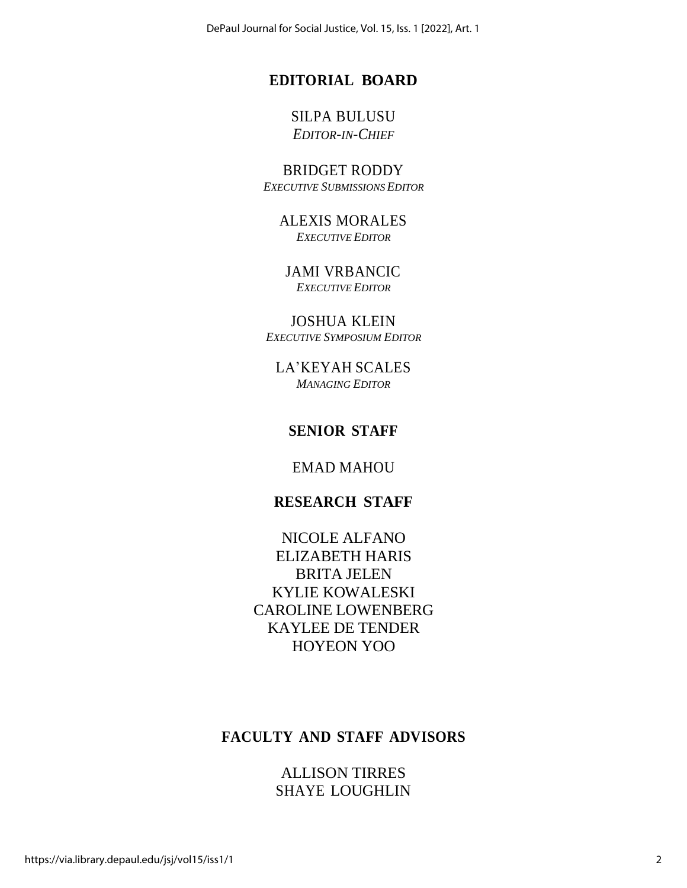DePaul Journal for Social Justice, Vol. 15, Iss. 1 [2022], Art. 1

### **EDITORIAL BOARD**

#### SILPA BULUSU *EDITOR-IN-CHIEF*

BRIDGET RODDY *EXECUTIVE SUBMISSIONS EDITOR*

> ALEXIS MORALES *EXECUTIVE EDITOR*

JAMI VRBANCIC *EXECUTIVE EDITOR*

JOSHUA KLEIN *EXECUTIVE SYMPOSIUM EDITOR*

LA'KEYAH SCALES *MANAGING EDITOR*

### **SENIOR STAFF**

EMAD MAHOU

#### **RESEARCH STAFF**

NICOLE ALFANO ELIZABETH HARIS BRITA JELEN KYLIE KOWALESKI CAROLINE LOWENBERG KAYLEE DE TENDER HOYEON YOO

## **FACULTY AND STAFF ADVISORS**

ALLISON TIRRES SHAYE LOUGHLIN